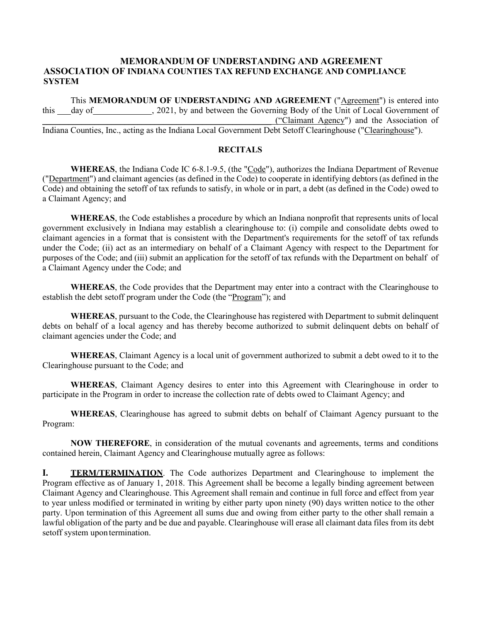### **MEMORANDUM OF UNDERSTANDING AND AGREEMENT ASSOCIATION OF INDIANA COUNTIES TAX REFUND EXCHANGE AND COMPLIANCE SYSTEM**

This **MEMORANDUM OF UNDERSTANDING AND AGREEMENT** ("Agreement") is entered into this day of , 2021, by and between the Governing Body of the Unit of Local Government of \_\_\_\_\_\_\_\_\_\_\_\_\_\_\_\_\_\_\_\_\_\_\_\_\_\_\_\_\_\_\_\_\_\_\_\_\_\_\_\_\_\_\_\_\_\_\_\_\_\_\_\_\_ ("Claimant Agency") and the Association of Indiana Counties, Inc., acting as the Indiana Local Government Debt Setoff Clearinghouse ("Clearinghouse").

#### **RECITALS**

**WHEREAS**, the Indiana Code IC 6-8.1-9.5, (the "Code"), authorizes the Indiana Department of Revenue ("Department") and claimant agencies (as defined in the Code) to cooperate in identifying debtors (as defined in the Code) and obtaining the setoff of tax refunds to satisfy, in whole or in part, a debt (as defined in the Code) owed to a Claimant Agency; and

**WHEREAS**, the Code establishes a procedure by which an Indiana nonprofit that represents units of local government exclusively in Indiana may establish a clearinghouse to: (i) compile and consolidate debts owed to claimant agencies in a format that is consistent with the Department's requirements for the setoff of tax refunds under the Code; (ii) act as an intermediary on behalf of a Claimant Agency with respect to the Department for purposes of the Code; and (iii) submit an application for the setoff of tax refunds with the Department on behalf of a Claimant Agency under the Code; and

**WHEREAS**, the Code provides that the Department may enter into a contract with the Clearinghouse to establish the debt setoff program under the Code (the "Program"); and

**WHEREAS**, pursuant to the Code, the Clearinghouse has registered with Department to submit delinquent debts on behalf of a local agency and has thereby become authorized to submit delinquent debts on behalf of claimant agencies under the Code; and

**WHEREAS**, Claimant Agency is a local unit of government authorized to submit a debt owed to it to the Clearinghouse pursuant to the Code; and

**WHEREAS**, Claimant Agency desires to enter into this Agreement with Clearinghouse in order to participate in the Program in order to increase the collection rate of debts owed to Claimant Agency; and

**WHEREAS**, Clearinghouse has agreed to submit debts on behalf of Claimant Agency pursuant to the Program:

**NOW THEREFORE**, in consideration of the mutual covenants and agreements, terms and conditions contained herein, Claimant Agency and Clearinghouse mutually agree as follows:

**I. TERM/TERMINATION**. The Code authorizes Department and Clearinghouse to implement the Program effective as of January 1, 2018. This Agreement shall be become a legally binding agreement between Claimant Agency and Clearinghouse. This Agreement shall remain and continue in full force and effect from year to year unless modified or terminated in writing by either party upon ninety (90) days written notice to the other party. Upon termination of this Agreement all sums due and owing from either party to the other shall remain a lawful obligation of the party and be due and payable. Clearinghouse will erase all claimant data files from its debt setoff system upon termination.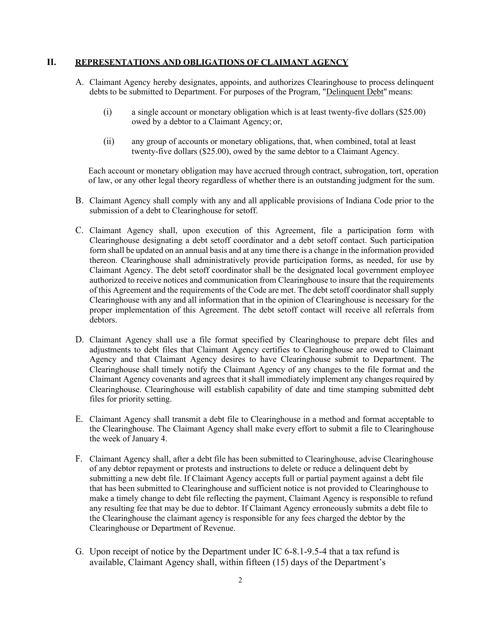#### **II. REPRESENTATIONS AND OBLIGATIONS OF CLAIMANT AGENCY**

- A. Claimant Agency hereby designates, appoints, and authorizes Clearinghouse to process delinquent debts to be submitted to Department. For purposes of the Program, "Delinquent Debt" means:
	- (i) a single account or monetary obligation which is at least twenty-five dollars (\$25.00) owed by a debtor to a Claimant Agency; or,
	- (ii) any group of accounts or monetary obligations, that, when combined, total at least twenty-five dollars (\$25.00), owed by the same debtor to a Claimant Agency.

Each account or monetary obligation may have accrued through contract, subrogation, tort, operation of law, or any other legal theory regardless of whether there is an outstanding judgment for the sum.

- B. Claimant Agency shall comply with any and all applicable provisions of Indiana Code prior to the submission of a debt to Clearinghouse for setoff.
- C. Claimant Agency shall, upon execution of this Agreement, file a participation form with Clearinghouse designating a debt setoff coordinator and a debt setoff contact. Such participation form shall be updated on an annual basis and at any time there is a change in the information provided thereon. Clearinghouse shall administratively provide participation forms, as needed, for use by Claimant Agency. The debt setoff coordinator shall be the designated local government employee authorized to receive notices and communication from Clearinghouse to insure that the requirements of this Agreement and the requirements of the Code are met. The debt setoff coordinator shall supply Clearinghouse with any and all information that in the opinion of Clearinghouse is necessary for the proper implementation of this Agreement. The debt setoff contact will receive all referrals from debtors.
- D. Claimant Agency shall use a file format specified by Clearinghouse to prepare debt files and adjustments to debt files that Claimant Agency certifies to Clearinghouse are owed to Claimant Agency and that Claimant Agency desires to have Clearinghouse submit to Department. The Clearinghouse shall timely notify the Claimant Agency of any changes to the file format and the Claimant Agency covenants and agrees that it shall immediately implement any changes required by Clearinghouse. Clearinghouse will establish capability of date and time stamping submitted debt files for priority setting.
- E. Claimant Agency shall transmit a debt file to Clearinghouse in a method and format acceptable to the Clearinghouse. The Claimant Agency shall make every effort to submit a file to Clearinghouse the week of January 4.
- F. Claimant Agency shall, after a debt file has been submitted to Clearinghouse, advise Clearinghouse of any debtor repayment or protests and instructions to delete or reduce a delinquent debt by submitting a new debt file. If Claimant Agency accepts full or partial payment against a debt file that has been submitted to Clearinghouse and sufficient notice is not provided to Clearinghouse to make a timely change to debt file reflecting the payment, Claimant Agency is responsible to refund any resulting fee that may be due to debtor. If Claimant Agency erroneously submits a debt file to the Clearinghouse the claimant agency is responsible for any fees charged the debtor by the Clearinghouse or Department of Revenue.
- G. Upon receipt of notice by the Department under IC 6-8.1-9.5-4 that a tax refund is available, Claimant Agency shall, within fifteen (15) days of the Department's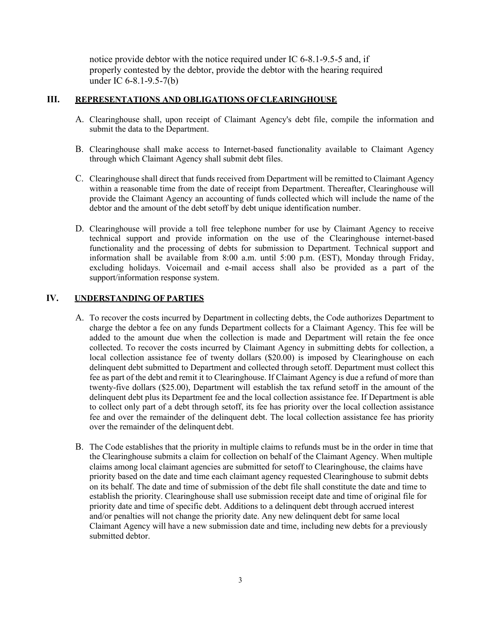notice provide debtor with the notice required under IC 6-8.1-9.5-5 and, if properly contested by the debtor, provide the debtor with the hearing required under IC 6-8.1-9.5-7(b)

### **III. REPRESENTATIONS AND OBLIGATIONS OFCLEARINGHOUSE**

- A. Clearinghouse shall, upon receipt of Claimant Agency's debt file, compile the information and submit the data to the Department.
- B. Clearinghouse shall make access to Internet-based functionality available to Claimant Agency through which Claimant Agency shall submit debt files.
- C. Clearinghouse shall direct that funds received from Department will be remitted to Claimant Agency within a reasonable time from the date of receipt from Department. Thereafter, Clearinghouse will provide the Claimant Agency an accounting of funds collected which will include the name of the debtor and the amount of the debt setoff by debt unique identification number.
- D. Clearinghouse will provide a toll free telephone number for use by Claimant Agency to receive technical support and provide information on the use of the Clearinghouse internet-based functionality and the processing of debts for submission to Department. Technical support and information shall be available from 8:00 a.m. until 5:00 p.m. (EST), Monday through Friday, excluding holidays. Voicemail and e-mail access shall also be provided as a part of the support/information response system.

### **IV. UNDERSTANDING OF PARTIES**

- A. To recover the costs incurred by Department in collecting debts, the Code authorizes Department to charge the debtor a fee on any funds Department collects for a Claimant Agency. This fee will be added to the amount due when the collection is made and Department will retain the fee once collected. To recover the costs incurred by Claimant Agency in submitting debts for collection, a local collection assistance fee of twenty dollars (\$20.00) is imposed by Clearinghouse on each delinquent debt submitted to Department and collected through setoff. Department must collect this fee as part of the debt and remit it to Clearinghouse. If Claimant Agency is due a refund of more than twenty-five dollars (\$25.00), Department will establish the tax refund setoff in the amount of the delinquent debt plus its Department fee and the local collection assistance fee. If Department is able to collect only part of a debt through setoff, its fee has priority over the local collection assistance fee and over the remainder of the delinquent debt. The local collection assistance fee has priority over the remainder of the delinquent debt.
- B. The Code establishes that the priority in multiple claims to refunds must be in the order in time that the Clearinghouse submits a claim for collection on behalf of the Claimant Agency. When multiple claims among local claimant agencies are submitted for setoff to Clearinghouse, the claims have priority based on the date and time each claimant agency requested Clearinghouse to submit debts on its behalf. The date and time of submission of the debt file shall constitute the date and time to establish the priority. Clearinghouse shall use submission receipt date and time of original file for priority date and time of specific debt. Additions to a delinquent debt through accrued interest and/or penalties will not change the priority date. Any new delinquent debt for same local Claimant Agency will have a new submission date and time, including new debts for a previously submitted debtor.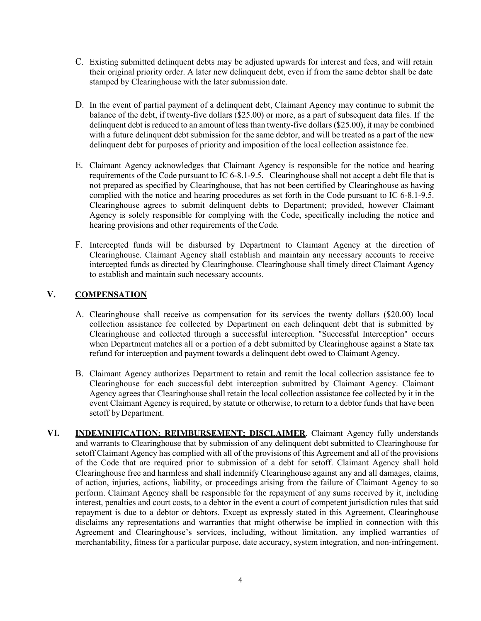- C. Existing submitted delinquent debts may be adjusted upwards for interest and fees, and will retain their original priority order. A later new delinquent debt, even if from the same debtor shall be date stamped by Clearinghouse with the later submission date.
- D. In the event of partial payment of a delinquent debt, Claimant Agency may continue to submit the balance of the debt, if twenty-five dollars (\$25.00) or more, as a part of subsequent data files. If the delinquent debt is reduced to an amount of less than twenty-five dollars (\$25.00), it may be combined with a future delinquent debt submission for the same debtor, and will be treated as a part of the new delinquent debt for purposes of priority and imposition of the local collection assistance fee.
- E. Claimant Agency acknowledges that Claimant Agency is responsible for the notice and hearing requirements of the Code pursuant to IC 6-8.1-9.5. Clearinghouse shall not accept a debt file that is not prepared as specified by Clearinghouse, that has not been certified by Clearinghouse as having complied with the notice and hearing procedures as set forth in the Code pursuant to IC 6-8.1-9.5. Clearinghouse agrees to submit delinquent debts to Department; provided, however Claimant Agency is solely responsible for complying with the Code, specifically including the notice and hearing provisions and other requirements of theCode.
- F. Intercepted funds will be disbursed by Department to Claimant Agency at the direction of Clearinghouse. Claimant Agency shall establish and maintain any necessary accounts to receive intercepted funds as directed by Clearinghouse. Clearinghouse shall timely direct Claimant Agency to establish and maintain such necessary accounts.

## **V. COMPENSATION**

- A. Clearinghouse shall receive as compensation for its services the twenty dollars (\$20.00) local collection assistance fee collected by Department on each delinquent debt that is submitted by Clearinghouse and collected through a successful interception. "Successful Interception" occurs when Department matches all or a portion of a debt submitted by Clearinghouse against a State tax refund for interception and payment towards a delinquent debt owed to Claimant Agency.
- B. Claimant Agency authorizes Department to retain and remit the local collection assistance fee to Clearinghouse for each successful debt interception submitted by Claimant Agency. Claimant Agency agrees that Clearinghouse shall retain the local collection assistance fee collected by it in the event Claimant Agency is required, by statute or otherwise, to return to a debtor funds that have been setoff byDepartment.
- **VI. INDEMNIFICATION; REIMBURSEMENT; DISCLAIMER**. Claimant Agency fully understands and warrants to Clearinghouse that by submission of any delinquent debt submitted to Clearinghouse for setoff Claimant Agency has complied with all of the provisions of this Agreement and all of the provisions of the Code that are required prior to submission of a debt for setoff. Claimant Agency shall hold Clearinghouse free and harmless and shall indemnify Clearinghouse against any and all damages, claims, of action, injuries, actions, liability, or proceedings arising from the failure of Claimant Agency to so perform. Claimant Agency shall be responsible for the repayment of any sums received by it, including interest, penalties and court costs, to a debtor in the event a court of competent jurisdiction rules that said repayment is due to a debtor or debtors. Except as expressly stated in this Agreement, Clearinghouse disclaims any representations and warranties that might otherwise be implied in connection with this Agreement and Clearinghouse's services, including, without limitation, any implied warranties of merchantability, fitness for a particular purpose, date accuracy, system integration, and non-infringement.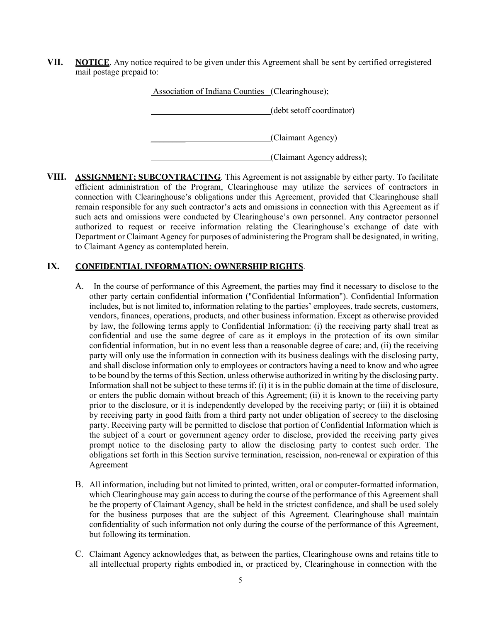**VII. NOTICE**. Any notice required to be given under this Agreement shall be sent by certified orregistered mail postage prepaid to:

> Association of Indiana Counties (Clearinghouse); (debt setoff coordinator) \_\_\_\_\_\_\_\_ (Claimant Agency) (Claimant Agency address);

**VIII. ASSIGNMENT; SUBCONTRACTING**. This Agreement is not assignable by either party. To facilitate efficient administration of the Program, Clearinghouse may utilize the services of contractors in connection with Clearinghouse's obligations under this Agreement, provided that Clearinghouse shall remain responsible for any such contractor's acts and omissions in connection with this Agreement as if such acts and omissions were conducted by Clearinghouse's own personnel. Any contractor personnel authorized to request or receive information relating the Clearinghouse's exchange of date with Department or Claimant Agency for purposes of administering the Program shall be designated, in writing, to Claimant Agency as contemplated herein.

#### **IX. CONFIDENTIAL INFORMATION; OWNERSHIP RIGHTS**.

- A. In the course of performance of this Agreement, the parties may find it necessary to disclose to the other party certain confidential information ("Confidential Information"). Confidential Information includes, but is not limited to, information relating to the parties' employees, trade secrets, customers, vendors, finances, operations, products, and other business information. Except as otherwise provided by law, the following terms apply to Confidential Information: (i) the receiving party shall treat as confidential and use the same degree of care as it employs in the protection of its own similar confidential information, but in no event less than a reasonable degree of care; and, (ii) the receiving party will only use the information in connection with its business dealings with the disclosing party, and shall disclose information only to employees or contractors having a need to know and who agree to be bound by the terms of this Section, unless otherwise authorized in writing by the disclosing party. Information shall not be subject to these terms if: (i) it is in the public domain at the time of disclosure, or enters the public domain without breach of this Agreement; (ii) it is known to the receiving party prior to the disclosure, or it is independently developed by the receiving party; or (iii) it is obtained by receiving party in good faith from a third party not under obligation of secrecy to the disclosing party. Receiving party will be permitted to disclose that portion of Confidential Information which is the subject of a court or government agency order to disclose, provided the receiving party gives prompt notice to the disclosing party to allow the disclosing party to contest such order. The obligations set forth in this Section survive termination, rescission, non-renewal or expiration of this Agreement
- B. All information, including but not limited to printed, written, oral or computer-formatted information, which Clearinghouse may gain access to during the course of the performance of this Agreement shall be the property of Claimant Agency, shall be held in the strictest confidence, and shall be used solely for the business purposes that are the subject of this Agreement. Clearinghouse shall maintain confidentiality of such information not only during the course of the performance of this Agreement, but following its termination.
- C. Claimant Agency acknowledges that, as between the parties, Clearinghouse owns and retains title to all intellectual property rights embodied in, or practiced by, Clearinghouse in connection with the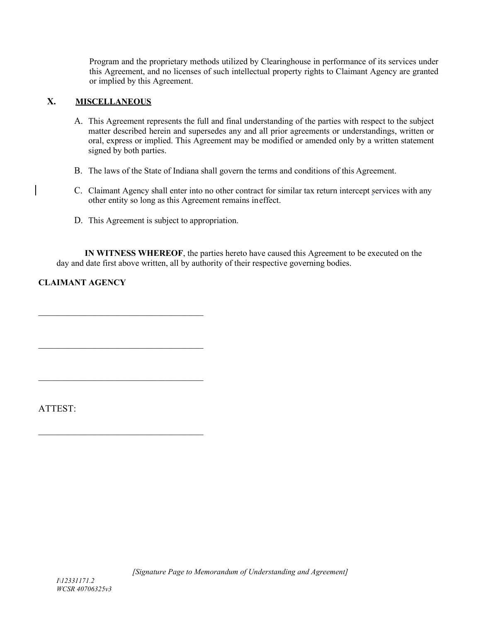Program and the proprietary methods utilized by Clearinghouse in performance of its services under this Agreement, and no licenses of such intellectual property rights to Claimant Agency are granted or implied by this Agreement.

## **X. MISCELLANEOUS**

- A. This Agreement represents the full and final understanding of the parties with respect to the subject matter described herein and supersedes any and all prior agreements or understandings, written or oral, express or implied. This Agreement may be modified or amended only by a written statement signed by both parties.
- B. The laws of the State of Indiana shall govern the terms and conditions of this Agreement.
- C. Claimant Agency shall enter into no other contract for similar tax return intercept services with any other entity so long as this Agreement remains ineffect.
- D. This Agreement is subject to appropriation.

**IN WITNESS WHEREOF**, the parties hereto have caused this Agreement to be executed on the day and date first above written, all by authority of their respective governing bodies.

# **CLAIMANT AGENCY**

 $\mathcal{L}_\mathcal{L}$ 

 $\mathcal{L}_\mathcal{L}$ 

ATTEST: